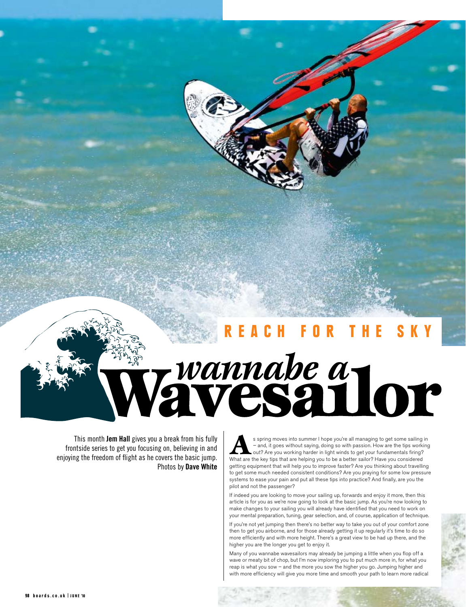## H FOR

# Wannabe a 101

This month **Jem Hall** gives you a break from his fully frontside series to get you focusing on, believing in and enjoying the freedom of flight as he covers the basic jump. Photos by **Dave White**

s spring moves into summer I hope you're all managing to get some sailing in  $-$  and, it goes without saying, doing so with passion. How are the tips working out? Are you working harder in light winds to get your fundamen – and, it goes without saying, doing so with passion. How are the tips working out? Are you working harder in light winds to get your fundamentals firing? What are the key tips that are helping you to be a better sailor? Have you considered getting equipment that will help you to improve faster? Are you thinking about travelling to get some much needed consistent conditions? Are you praying for some low pressure systems to ease your pain and put all these tips into practice? And finally, are you the pilot and not the passenger?

If indeed you are looking to move your sailing up, forwards and enjoy it more, then this article is for you as we're now going to look at the basic jump. As you're now looking to make changes to your sailing you will already have identified that you need to work on your mental preparation, tuning, gear selection, and, of course, application of technique.

If you're not yet jumping then there's no better way to take you out of your comfort zone then to get you airborne, and for those already getting it up regularly it's time to do so more efficiently and with more height. There's a great view to be had up there, and the higher you are the longer you get to enjoy it.

Many of you wannabe wavesailors may already be jumping a little when you flop off a wave or meaty bit of chop, but I'm now imploring you to put much more in, for what you reap is what you sow – and the more you sow the higher you go. Jumping higher and with more efficiency will give you more time and smooth your path to learn more radical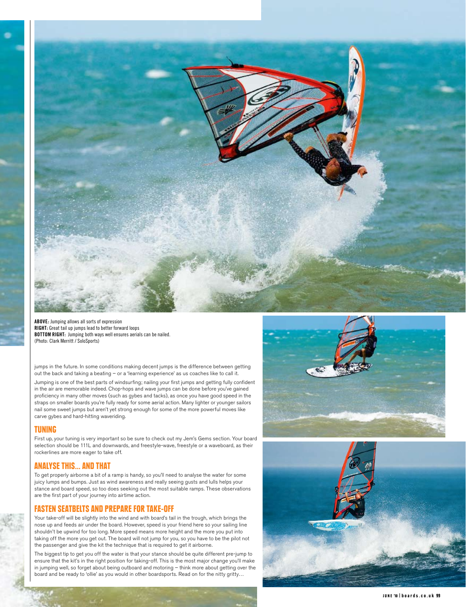

**ABOVE:** Jumping allows all sorts of expression **RIGHT:** Great tail up jumps lead to better forward loops **BOTTOM RIGHT:** Jumping both ways well ensures aerials can be nailed. (Photo: Clark Merritt / SoloSports)

jumps in the future. In some conditions making decent jumps is the difference between getting out the back and taking a beating – or a 'learning experience' as us coaches like to call it.

Jumping is one of the best parts of windsurfing; nailing your first jumps and getting fully confident in the air are memorable indeed. Chop-hops and wave jumps can be done before you've gained proficiency in many other moves (such as gybes and tacks), as once you have good speed in the straps on smaller boards you're fully ready for some aerial action. Many lighter or younger sailors nail some sweet jumps but aren't yet strong enough for some of the more powerful moves like carve gybes and hard-hitting waveriding.

#### Tuning

First up, your tuning is very important so be sure to check out my Jem's Gems section. Your board selection should be 111L and downwards, and freestyle-wave, freestyle or a waveboard, as their rockerlines are more eager to take off.

#### Analyse this... and that

To get properly airborne a bit of a ramp is handy, so you'll need to analyse the water for some juicy lumps and bumps. Just as wind awareness and really seeing gusts and lulls helps your stance and board speed, so too does seeking out the most suitable ramps. These observations are the first part of your journey into airtime action.

### Fasten seatbelts and prepare for take-off

Your take-off will be slightly into the wind and with board's tail in the trough, which brings the nose up and feeds air under the board. However, speed is your friend here so your sailing line shouldn't be upwind for too long. More speed means more height and the more you put into taking off the more you get out. The board will not jump for you, so you have to be the pilot not the passenger and give the kit the technique that is required to get it airborne.

The biggest tip to get you off the water is that your stance should be quite different pre-jump to ensure that the kit's in the right position for taking-off. This is the most major change you'll make in jumping well, so forget about being outboard and motoring – think more about getting over the board and be ready to 'ollie' as you would in other boardsports. Read on for the nitty gritty…





JUNE '10 | boards.co.uk 99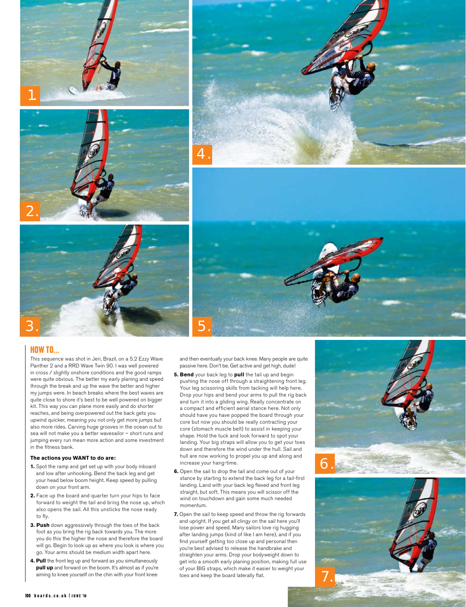

#### How To...

This sequence was shot in Jeri, Brazil, on a 5.2 Ezzy Wave Panther 2 and a RRD Wave Twin 90. I was well powered in cross / slightly onshore conditions and the good ramps were quite obvious. The better my early planing and speed through the break and up the wave the better and higher my jumps were. In beach breaks where the best waves are quite close to shore it's best to be well powered on bigger kit. This way you can plane more easily and do shorter reaches, and being overpowered out the back gets you upwind quicker, meaning you not only get more jumps but also more rides. Carving huge grooves in the ocean out to sea will not make you a better wavesailor – short runs and jumping every run mean more action and some investment in the fitness bank.

#### **The actions you WANT to do are:**

- **1.** Spot the ramp and get set up with your body inboard and low after unhooking. Bend the back leg and get your head below boom height. Keep speed by pulling down on your front arm.
- **2.** Face up the board and quarter turn your hips to face forward to weight the tail and bring the nose up, which also opens the sail. All this unsticks the nose ready to fly.
- **3. Push** down aggressively through the toes of the back foot as you bring the rig back towards you. The more you do this the higher the nose and therefore the board will go. Begin to look up as where you look is where you go. Your arms should be medium width apart here.
- **4. Pull** the front leg up and forward as you simultaneously **pull up** and forward on the boom. It's almost as if you're aiming to knee yourself on the chin with your front knee

and then eventually your back knee. Many people are quite passive here. Don't be. Get active and get high, dude!

- **5. Bend** your back leg to **pull** the tail up and begin pushing the nose off through a straightening front leg. Your leg scissoring skills from tacking will help here. Drop your hips and bend your arms to pull the rig back and turn it into a gliding wing. Really concentrate on a compact and efficient aerial stance here. Not only should have you have popped the board through your core but now you should be really contracting your core (stomach muscle belt) to assist in keeping your shape. Hold the tuck and look forward to spot your landing. Your big straps will allow you to get your toes down and therefore the wind under the hull. Sail and hull are now working to propel you up and along and increase your hang-time.
- **6.** Open the sail to drop the tail and come out of your stance by starting to extend the back leg for a tail-first landing. Land with your back leg flexed and front leg straight, but soft. This means you will scissor off the wind on touchdown and gain some much needed momentum.
- **7.** Open the sail to keep speed and throw the rig forwards and upright. If you get all clingy on the sail here you'll lose power and speed. Many sailors love rig hugging after landing jumps (kind of like I am here), and if you find yourself getting too close up and personal then you're best advised to release the handbrake and straighten your arms. Drop your bodyweight down to get into a smooth early planing position, making full use of your BIG straps, which make it easier to weight your toes and keep the board laterally flat.